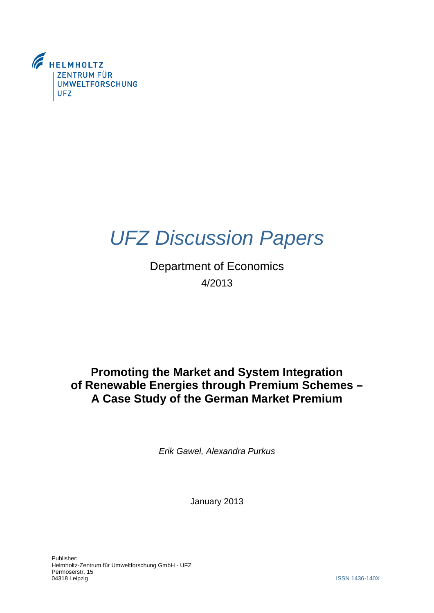

# *UFZ Discussion Papers*

Department of Economics 4/2013

# **Promoting the Market and System Integration of Renewable Energies through Premium Schemes – A Case Study of the German Market Premium**

*Erik Gawel, Alexandra Purkus*

January 2013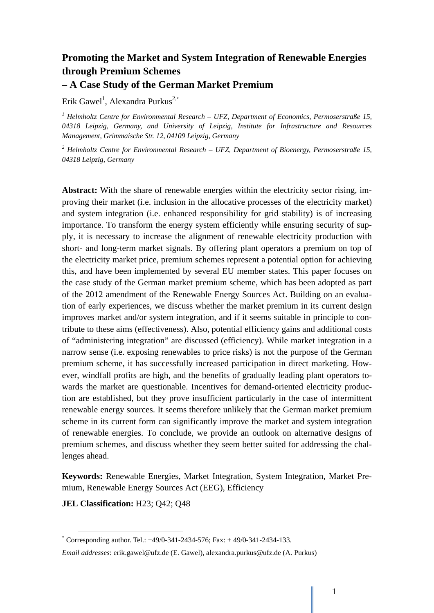# **Promoting the Market and System Integration of Renewable Energies through Premium Schemes – A Case Study of the German Market Premium**

Erik Gawel<sup>1</sup>, Alexandra Purkus<sup>2,\*</sup>

<sup>1</sup> Helmholtz Centre for Environmental Research – UFZ, Department of Economics, Permoserstraße 15, *04318 Leipzig, Germany, and University of Leipzig, Institute for Infrastructure and Resources Management, Grimmaische Str. 12, 04109 Leipzig, Germany* 

*2 Helmholtz Centre for Environmental Research – UFZ, Department of Bioenergy, Permoserstraße 15, 04318 Leipzig, Germany* 

**Abstract:** With the share of renewable energies within the electricity sector rising, improving their market (i.e. inclusion in the allocative processes of the electricity market) and system integration (i.e. enhanced responsibility for grid stability) is of increasing importance. To transform the energy system efficiently while ensuring security of supply, it is necessary to increase the alignment of renewable electricity production with short- and long-term market signals. By offering plant operators a premium on top of the electricity market price, premium schemes represent a potential option for achieving this, and have been implemented by several EU member states. This paper focuses on the case study of the German market premium scheme, which has been adopted as part of the 2012 amendment of the Renewable Energy Sources Act. Building on an evaluation of early experiences, we discuss whether the market premium in its current design improves market and/or system integration, and if it seems suitable in principle to contribute to these aims (effectiveness). Also, potential efficiency gains and additional costs of "administering integration" are discussed (efficiency). While market integration in a narrow sense (i.e. exposing renewables to price risks) is not the purpose of the German premium scheme, it has successfully increased participation in direct marketing. However, windfall profits are high, and the benefits of gradually leading plant operators towards the market are questionable. Incentives for demand-oriented electricity production are established, but they prove insufficient particularly in the case of intermittent renewable energy sources. It seems therefore unlikely that the German market premium scheme in its current form can significantly improve the market and system integration of renewable energies. To conclude, we provide an outlook on alternative designs of premium schemes, and discuss whether they seem better suited for addressing the challenges ahead.

**Keywords:** Renewable Energies, Market Integration, System Integration, Market Premium, Renewable Energy Sources Act (EEG), Efficiency

**JEL Classification:** H23; Q42; Q48

<sup>\*&</sup>lt;br>
\* Corresponding author. Tel.: +49/0-341-2434-576; Fax: +49/0-341-2434-133.

*Email addresses*: erik.gawel@ufz.de (E. Gawel), alexandra.purkus@ufz.de (A. Purkus)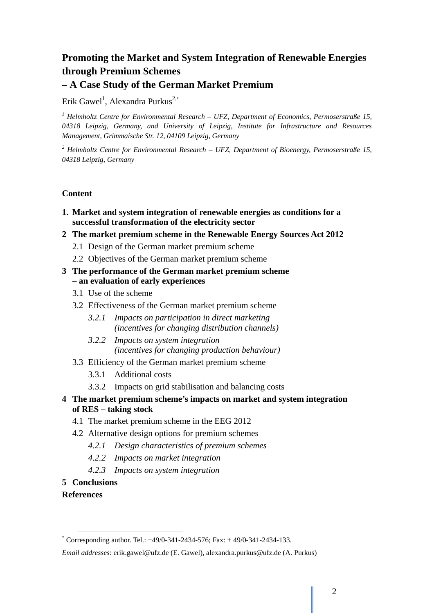# **Promoting the Market and System Integration of Renewable Energies through Premium Schemes – A Case Study of the German Market Premium**

Erik Gawel<sup>1</sup>, Alexandra Purkus<sup>2,\*</sup>

<sup>1</sup> Helmholtz Centre for Environmental Research – UFZ, Department of Economics, Permoserstraße 15, *04318 Leipzig, Germany, and University of Leipzig, Institute for Infrastructure and Resources Management, Grimmaische Str. 12, 04109 Leipzig, Germany* 

*2 Helmholtz Centre for Environmental Research – UFZ, Department of Bioenergy, Permoserstraße 15, 04318 Leipzig, Germany* 

# **Content**

- **1. Market and system integration of renewable energies as conditions for a successful transformation of the electricity sector**
- **2 The market premium scheme in the Renewable Energy Sources Act 2012** 
	- 2.1 Design of the German market premium scheme
	- 2.2 Objectives of the German market premium scheme
- **3 The performance of the German market premium scheme – an evaluation of early experiences**
	- 3.1 Use of the scheme
	- 3.2 Effectiveness of the German market premium scheme
		- *3.2.1 Impacts on participation in direct marketing (incentives for changing distribution channels)*
		- *3.2.2 Impacts on system integration (incentives for changing production behaviour)*
	- 3.3 Efficiency of the German market premium scheme
		- 3.3.1 Additional costs
		- 3.3.2 Impacts on grid stabilisation and balancing costs
- **4 The market premium scheme's impacts on market and system integration of RES – taking stock** 
	- 4.1 The market premium scheme in the EEG 2012
	- 4.2 Alternative design options for premium schemes
		- *4.2.1 Design characteristics of premium schemes*
		- *4.2.2 Impacts on market integration*
		- *4.2.3 Impacts on system integration*
- **5 Conclusions**
- **References**

<sup>\*&</sup>lt;br>
\* Corresponding author. Tel.: +49/0-341-2434-576; Fax: +49/0-341-2434-133.

*Email addresses*: erik.gawel@ufz.de (E. Gawel), alexandra.purkus@ufz.de (A. Purkus)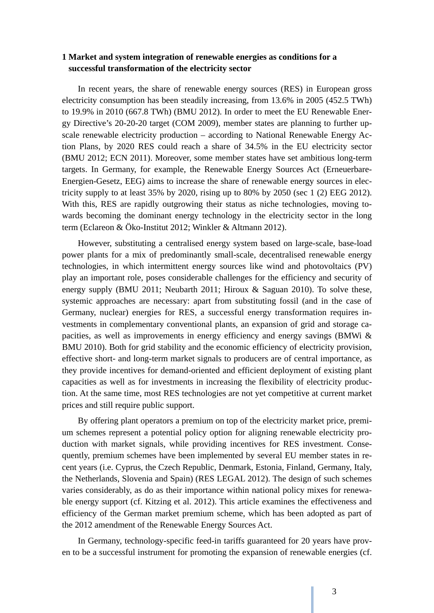### **1 Market and system integration of renewable energies as conditions for a successful transformation of the electricity sector**

In recent years, the share of renewable energy sources (RES) in European gross electricity consumption has been steadily increasing, from 13.6% in 2005 (452.5 TWh) to 19.9% in 2010 (667.8 TWh) (BMU 2012). In order to meet the EU Renewable Energy Directive's 20-20-20 target (COM 2009), member states are planning to further upscale renewable electricity production – according to National Renewable Energy Action Plans, by 2020 RES could reach a share of 34.5% in the EU electricity sector (BMU 2012; ECN 2011). Moreover, some member states have set ambitious long-term targets. In Germany, for example, the Renewable Energy Sources Act (Erneuerbare-Energien-Gesetz, EEG) aims to increase the share of renewable energy sources in electricity supply to at least 35% by 2020, rising up to 80% by 2050 (sec 1 (2) EEG 2012). With this, RES are rapidly outgrowing their status as niche technologies, moving towards becoming the dominant energy technology in the electricity sector in the long term (Eclareon & Öko-Institut 2012; Winkler & Altmann 2012).

However, substituting a centralised energy system based on large-scale, base-load power plants for a mix of predominantly small-scale, decentralised renewable energy technologies, in which intermittent energy sources like wind and photovoltaics (PV) play an important role, poses considerable challenges for the efficiency and security of energy supply (BMU 2011; Neubarth 2011; Hiroux & Saguan 2010). To solve these, systemic approaches are necessary: apart from substituting fossil (and in the case of Germany, nuclear) energies for RES, a successful energy transformation requires investments in complementary conventional plants, an expansion of grid and storage capacities, as well as improvements in energy efficiency and energy savings (BMWi & BMU 2010). Both for grid stability and the economic efficiency of electricity provision, effective short- and long-term market signals to producers are of central importance, as they provide incentives for demand-oriented and efficient deployment of existing plant capacities as well as for investments in increasing the flexibility of electricity production. At the same time, most RES technologies are not yet competitive at current market prices and still require public support.

By offering plant operators a premium on top of the electricity market price, premium schemes represent a potential policy option for aligning renewable electricity production with market signals, while providing incentives for RES investment. Consequently, premium schemes have been implemented by several EU member states in recent years (i.e. Cyprus, the Czech Republic, Denmark, Estonia, Finland, Germany, Italy, the Netherlands, Slovenia and Spain) (RES LEGAL 2012). The design of such schemes varies considerably, as do as their importance within national policy mixes for renewable energy support (cf. Kitzing et al. 2012). This article examines the effectiveness and efficiency of the German market premium scheme, which has been adopted as part of the 2012 amendment of the Renewable Energy Sources Act.

In Germany, technology-specific feed-in tariffs guaranteed for 20 years have proven to be a successful instrument for promoting the expansion of renewable energies (cf.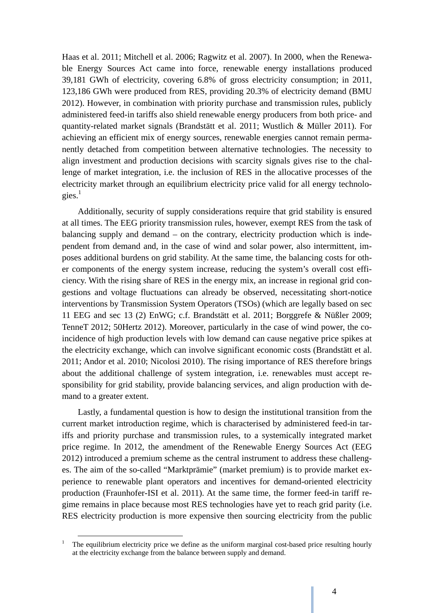Haas et al. 2011; Mitchell et al. 2006; Ragwitz et al. 2007). In 2000, when the Renewable Energy Sources Act came into force, renewable energy installations produced 39,181 GWh of electricity, covering 6.8% of gross electricity consumption; in 2011, 123,186 GWh were produced from RES, providing 20.3% of electricity demand (BMU 2012). However, in combination with priority purchase and transmission rules, publicly administered feed-in tariffs also shield renewable energy producers from both price- and quantity-related market signals (Brandstätt et al. 2011; Wustlich & Müller 2011). For achieving an efficient mix of energy sources, renewable energies cannot remain permanently detached from competition between alternative technologies. The necessity to align investment and production decisions with scarcity signals gives rise to the challenge of market integration, i.e. the inclusion of RES in the allocative processes of the electricity market through an equilibrium electricity price valid for all energy technologies. $<sup>1</sup>$ </sup>

Additionally, security of supply considerations require that grid stability is ensured at all times. The EEG priority transmission rules, however, exempt RES from the task of balancing supply and demand – on the contrary, electricity production which is independent from demand and, in the case of wind and solar power, also intermittent, imposes additional burdens on grid stability. At the same time, the balancing costs for other components of the energy system increase, reducing the system's overall cost efficiency. With the rising share of RES in the energy mix, an increase in regional grid congestions and voltage fluctuations can already be observed, necessitating short-notice interventions by Transmission System Operators (TSOs) (which are legally based on sec 11 EEG and sec 13 (2) EnWG; c.f. Brandstätt et al. 2011; Borggrefe & Nüßler 2009; TenneT 2012; 50Hertz 2012). Moreover, particularly in the case of wind power, the coincidence of high production levels with low demand can cause negative price spikes at the electricity exchange, which can involve significant economic costs (Brandstätt et al. 2011; Andor et al. 2010; Nicolosi 2010). The rising importance of RES therefore brings about the additional challenge of system integration, i.e. renewables must accept responsibility for grid stability, provide balancing services, and align production with demand to a greater extent.

Lastly, a fundamental question is how to design the institutional transition from the current market introduction regime, which is characterised by administered feed-in tariffs and priority purchase and transmission rules, to a systemically integrated market price regime. In 2012, the amendment of the Renewable Energy Sources Act (EEG 2012) introduced a premium scheme as the central instrument to address these challenges. The aim of the so-called "Marktprämie" (market premium) is to provide market experience to renewable plant operators and incentives for demand-oriented electricity production (Fraunhofer-ISI et al. 2011). At the same time, the former feed-in tariff regime remains in place because most RES technologies have yet to reach grid parity (i.e. RES electricity production is more expensive then sourcing electricity from the public

<sup>&</sup>lt;sup>1</sup> The equilibrium electricity price we define as the uniform marginal cost-based price resulting hourly at the electricity exchange from the balance between supply and demand.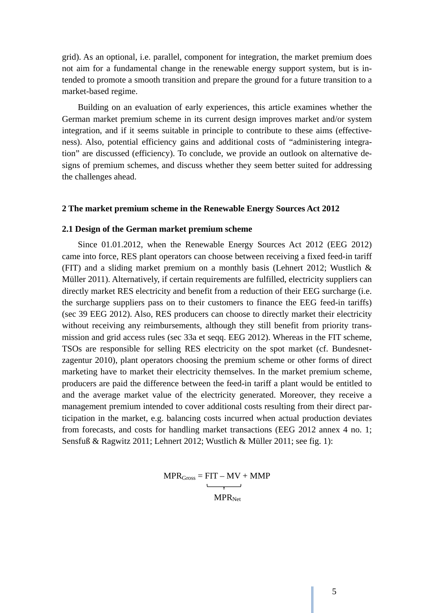grid). As an optional, i.e. parallel, component for integration, the market premium does not aim for a fundamental change in the renewable energy support system, but is intended to promote a smooth transition and prepare the ground for a future transition to a market-based regime.

Building on an evaluation of early experiences, this article examines whether the German market premium scheme in its current design improves market and/or system integration, and if it seems suitable in principle to contribute to these aims (effectiveness). Also, potential efficiency gains and additional costs of "administering integration" are discussed (efficiency). To conclude, we provide an outlook on alternative designs of premium schemes, and discuss whether they seem better suited for addressing the challenges ahead.

#### **2 The market premium scheme in the Renewable Energy Sources Act 2012**

#### **2.1 Design of the German market premium scheme**

Since 01.01.2012, when the Renewable Energy Sources Act 2012 (EEG 2012) came into force, RES plant operators can choose between receiving a fixed feed-in tariff (FIT) and a sliding market premium on a monthly basis (Lehnert 2012; Wustlich & Müller 2011). Alternatively, if certain requirements are fulfilled, electricity suppliers can directly market RES electricity and benefit from a reduction of their EEG surcharge (i.e. the surcharge suppliers pass on to their customers to finance the EEG feed-in tariffs) (sec 39 EEG 2012). Also, RES producers can choose to directly market their electricity without receiving any reimbursements, although they still benefit from priority transmission and grid access rules (sec 33a et seqq. EEG 2012). Whereas in the FIT scheme, TSOs are responsible for selling RES electricity on the spot market (cf. Bundesnetzagentur 2010), plant operators choosing the premium scheme or other forms of direct marketing have to market their electricity themselves. In the market premium scheme, producers are paid the difference between the feed-in tariff a plant would be entitled to and the average market value of the electricity generated. Moreover, they receive a management premium intended to cover additional costs resulting from their direct participation in the market, e.g. balancing costs incurred when actual production deviates from forecasts, and costs for handling market transactions (EEG 2012 annex 4 no. 1; Sensfuß & Ragwitz 2011; Lehnert 2012; Wustlich & Müller 2011; see fig. 1):

> $MPR<sub>Gross</sub> = FIT - MV + MMP$  $\overline{\phantom{a}}$  $MPR_{Net}$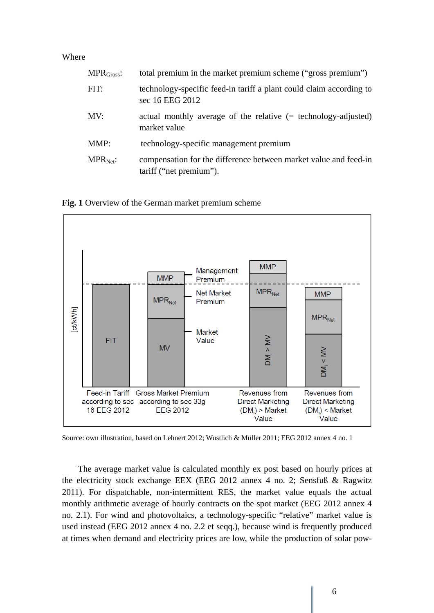Where

| $MPRGross$ :  | total premium in the market premium scheme ("gross premium")                                |
|---------------|---------------------------------------------------------------------------------------------|
| FIT:          | technology-specific feed-in tariff a plant could claim according to<br>sec 16 EEG 2012      |
| MV:           | actual monthly average of the relative $(= \text{technology-adjusted})$<br>market value     |
| MMP:          | technology-specific management premium                                                      |
| $MPR_{Net}$ : | compensation for the difference between market value and feed-in<br>tariff ("net premium"). |

**Fig. 1** Overview of the German market premium scheme



Source: own illustration, based on Lehnert 2012; Wustlich & Müller 2011; EEG 2012 annex 4 no. 1

The average market value is calculated monthly ex post based on hourly prices at the electricity stock exchange EEX (EEG 2012 annex 4 no. 2; Sensfuß & Ragwitz 2011). For dispatchable, non-intermittent RES, the market value equals the actual monthly arithmetic average of hourly contracts on the spot market (EEG 2012 annex 4 no. 2.1). For wind and photovoltaics, a technology-specific "relative" market value is used instead (EEG 2012 annex 4 no. 2.2 et seqq.), because wind is frequently produced at times when demand and electricity prices are low, while the production of solar pow-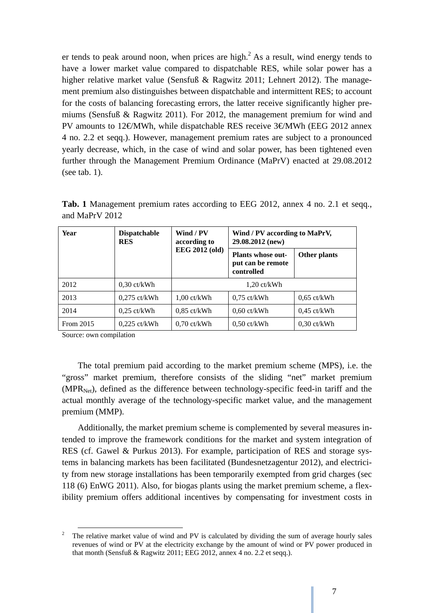er tends to peak around noon, when prices are high. $<sup>2</sup>$  As a result, wind energy tends to</sup> have a lower market value compared to dispatchable RES, while solar power has a higher relative market value (Sensfuß & Ragwitz 2011; Lehnert 2012). The management premium also distinguishes between dispatchable and intermittent RES; to account for the costs of balancing forecasting errors, the latter receive significantly higher premiums (Sensfuß & Ragwitz 2011). For 2012, the management premium for wind and PV amounts to 12€MWh, while dispatchable RES receive 3€MWh (EEG 2012 annex 4 no. 2.2 et seqq.). However, management premium rates are subject to a pronounced yearly decrease, which, in the case of wind and solar power, has been tightened even further through the Management Premium Ordinance (MaPrV) enacted at 29.08.2012 (see tab. 1).

| Year      | <b>Dispatchable</b><br><b>RES</b> | Wind / PV<br>according to | Wind / PV according to MaPrV,<br>29.08.2012 (new)           |               |
|-----------|-----------------------------------|---------------------------|-------------------------------------------------------------|---------------|
|           |                                   | <b>EEG 2012 (old)</b>     | <b>Plants whose out-</b><br>put can be remote<br>controlled | Other plants  |
| 2012      | $0.30 \text{ ct/kWh}$             |                           | $1,20$ ct/kWh                                               |               |
| 2013      | $0,275$ ct/kWh                    | $1.00 \text{ ct/kWh}$     | $0.75$ ct/kWh                                               | $0.65$ ct/kWh |
| 2014      | $0.25$ ct/kWh                     | $0.85$ ct/kWh             | $0.60$ ct/kWh                                               | $0.45$ ct/kWh |
| From 2015 | $0,225$ ct/kWh                    | $0,70$ ct/kWh             | $0,50$ ct/kWh                                               | $0,30$ ct/kWh |

**Tab. 1** Management premium rates according to EEG 2012, annex 4 no. 2.1 et seqq., and MaPrV 2012

Source: own compilation

The total premium paid according to the market premium scheme (MPS), i.e. the "gross" market premium, therefore consists of the sliding "net" market premium  $(MPR<sub>Net</sub>)$ , defined as the difference between technology-specific feed-in tariff and the actual monthly average of the technology-specific market value, and the management premium (MMP).

Additionally, the market premium scheme is complemented by several measures intended to improve the framework conditions for the market and system integration of RES (cf. Gawel & Purkus 2013). For example, participation of RES and storage systems in balancing markets has been facilitated (Bundesnetzagentur 2012), and electricity from new storage installations has been temporarily exempted from grid charges (sec 118 (6) EnWG 2011). Also, for biogas plants using the market premium scheme, a flexibility premium offers additional incentives by compensating for investment costs in

<sup>&</sup>lt;sup>2</sup> The relative market value of wind and PV is calculated by dividing the sum of average hourly sales revenues of wind or PV at the electricity exchange by the amount of wind or PV power produced in that month (Sensfuß & Ragwitz 2011; EEG 2012, annex 4 no. 2.2 et seqq.).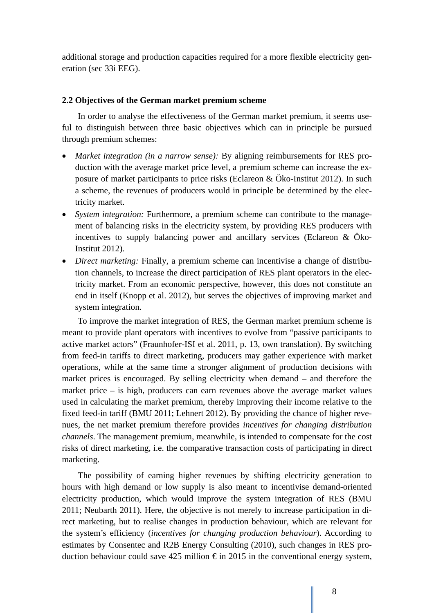additional storage and production capacities required for a more flexible electricity generation (sec 33i EEG).

#### **2.2 Objectives of the German market premium scheme**

In order to analyse the effectiveness of the German market premium, it seems useful to distinguish between three basic objectives which can in principle be pursued through premium schemes:

- *Market integration (in a narrow sense):* By aligning reimbursements for RES production with the average market price level, a premium scheme can increase the exposure of market participants to price risks (Eclareon & Öko-Institut 2012). In such a scheme, the revenues of producers would in principle be determined by the electricity market.
- *System integration:* Furthermore, a premium scheme can contribute to the management of balancing risks in the electricity system, by providing RES producers with incentives to supply balancing power and ancillary services (Eclareon & Öko-Institut 2012).
- *Direct marketing:* Finally, a premium scheme can incentivise a change of distribution channels, to increase the direct participation of RES plant operators in the electricity market. From an economic perspective, however, this does not constitute an end in itself (Knopp et al. 2012), but serves the objectives of improving market and system integration.

To improve the market integration of RES, the German market premium scheme is meant to provide plant operators with incentives to evolve from "passive participants to active market actors" (Fraunhofer-ISI et al. 2011, p. 13, own translation). By switching from feed-in tariffs to direct marketing, producers may gather experience with market operations, while at the same time a stronger alignment of production decisions with market prices is encouraged. By selling electricity when demand – and therefore the market price – is high, producers can earn revenues above the average market values used in calculating the market premium, thereby improving their income relative to the fixed feed-in tariff (BMU 2011; Lehnert 2012). By providing the chance of higher revenues, the net market premium therefore provides *incentives for changing distribution channels*. The management premium, meanwhile, is intended to compensate for the cost risks of direct marketing, i.e. the comparative transaction costs of participating in direct marketing.

The possibility of earning higher revenues by shifting electricity generation to hours with high demand or low supply is also meant to incentivise demand-oriented electricity production, which would improve the system integration of RES (BMU 2011; Neubarth 2011). Here, the objective is not merely to increase participation in direct marketing, but to realise changes in production behaviour, which are relevant for the system's efficiency (*incentives for changing production behaviour*). According to estimates by Consentec and R2B Energy Consulting (2010), such changes in RES production behaviour could save 425 million  $\epsilon$  in 2015 in the conventional energy system,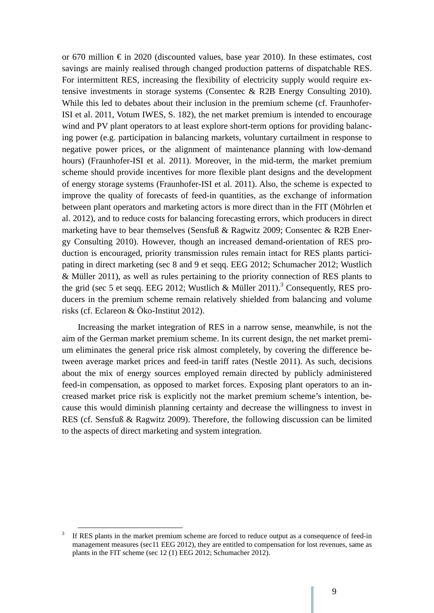or 670 million  $\epsilon$  in 2020 (discounted values, base year 2010). In these estimates, cost savings are mainly realised through changed production patterns of dispatchable RES. For intermittent RES, increasing the flexibility of electricity supply would require extensive investments in storage systems (Consentec & R2B Energy Consulting 2010). While this led to debates about their inclusion in the premium scheme (cf. Fraunhofer-ISI et al. 2011, Votum IWES, S. 182), the net market premium is intended to encourage wind and PV plant operators to at least explore short-term options for providing balancing power (e.g. participation in balancing markets, voluntary curtailment in response to negative power prices, or the alignment of maintenance planning with low-demand hours) (Fraunhofer-ISI et al. 2011). Moreover, in the mid-term, the market premium scheme should provide incentives for more flexible plant designs and the development of energy storage systems (Fraunhofer-ISI et al. 2011). Also, the scheme is expected to improve the quality of forecasts of feed-in quantities, as the exchange of information between plant operators and marketing actors is more direct than in the FIT (Möhrlen et al. 2012), and to reduce costs for balancing forecasting errors, which producers in direct marketing have to bear themselves (Sensfuß & Ragwitz 2009; Consentec & R2B Energy Consulting 2010). However, though an increased demand-orientation of RES production is encouraged, priority transmission rules remain intact for RES plants participating in direct marketing (sec 8 and 9 et seqq. EEG 2012; Schumacher 2012; Wustlich & Müller 2011), as well as rules pertaining to the priority connection of RES plants to the grid (sec 5 et seqq. EEG 2012; Wustlich & Müller 2011).<sup>3</sup> Consequently, RES producers in the premium scheme remain relatively shielded from balancing and volume risks (cf. Eclareon & Öko-Institut 2012).

Increasing the market integration of RES in a narrow sense, meanwhile, is not the aim of the German market premium scheme. In its current design, the net market premium eliminates the general price risk almost completely, by covering the difference between average market prices and feed-in tariff rates (Nestle 2011). As such, decisions about the mix of energy sources employed remain directed by publicly administered feed-in compensation, as opposed to market forces. Exposing plant operators to an increased market price risk is explicitly not the market premium scheme's intention, because this would diminish planning certainty and decrease the willingness to invest in RES (cf. Sensfuß & Ragwitz 2009). Therefore, the following discussion can be limited to the aspects of direct marketing and system integration.

<sup>&</sup>lt;sup>3</sup> If RES plants in the market premium scheme are forced to reduce output as a consequence of feed-in management measures (sec11 EEG 2012), they are entitled to compensation for lost revenues, same as plants in the FIT scheme (sec 12 (1) EEG 2012; Schumacher 2012).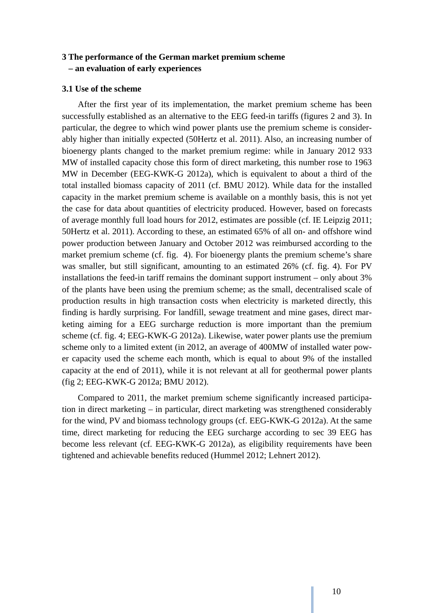## **3 The performance of the German market premium scheme – an evaluation of early experiences**

## **3.1 Use of the scheme**

After the first year of its implementation, the market premium scheme has been successfully established as an alternative to the EEG feed-in tariffs (figures 2 and 3). In particular, the degree to which wind power plants use the premium scheme is considerably higher than initially expected (50Hertz et al. 2011). Also, an increasing number of bioenergy plants changed to the market premium regime: while in January 2012 933 MW of installed capacity chose this form of direct marketing, this number rose to 1963 MW in December (EEG-KWK-G 2012a), which is equivalent to about a third of the total installed biomass capacity of 2011 (cf. BMU 2012). While data for the installed capacity in the market premium scheme is available on a monthly basis, this is not yet the case for data about quantities of electricity produced. However, based on forecasts of average monthly full load hours for 2012, estimates are possible (cf. IE Leipzig 2011; 50Hertz et al. 2011). According to these, an estimated 65% of all on- and offshore wind power production between January and October 2012 was reimbursed according to the market premium scheme (cf. fig. 4). For bioenergy plants the premium scheme's share was smaller, but still significant, amounting to an estimated 26% (cf. fig. 4). For PV installations the feed-in tariff remains the dominant support instrument – only about 3% of the plants have been using the premium scheme; as the small, decentralised scale of production results in high transaction costs when electricity is marketed directly, this finding is hardly surprising. For landfill, sewage treatment and mine gases, direct marketing aiming for a EEG surcharge reduction is more important than the premium scheme (cf. fig. 4; EEG-KWK-G 2012a). Likewise, water power plants use the premium scheme only to a limited extent (in 2012, an average of 400MW of installed water power capacity used the scheme each month, which is equal to about 9% of the installed capacity at the end of 2011), while it is not relevant at all for geothermal power plants (fig 2; EEG-KWK-G 2012a; BMU 2012).

Compared to 2011, the market premium scheme significantly increased participation in direct marketing – in particular, direct marketing was strengthened considerably for the wind, PV and biomass technology groups (cf. EEG-KWK-G 2012a). At the same time, direct marketing for reducing the EEG surcharge according to sec 39 EEG has become less relevant (cf. EEG-KWK-G 2012a), as eligibility requirements have been tightened and achievable benefits reduced (Hummel 2012; Lehnert 2012).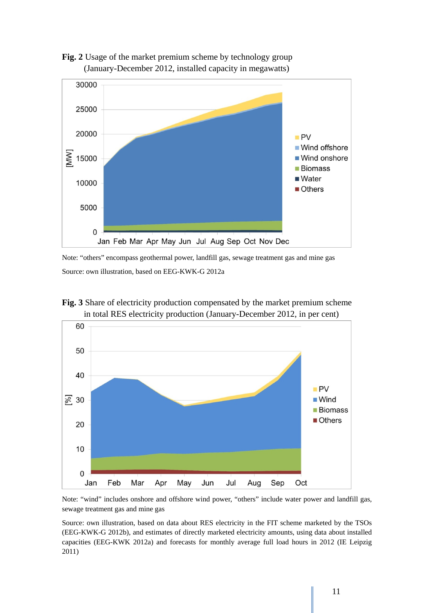



Note: "others" encompass geothermal power, landfill gas, sewage treatment gas and mine gas Source: own illustration, based on EEG-KWK-G 2012a





Note: "wind" includes onshore and offshore wind power, "others" include water power and landfill gas, sewage treatment gas and mine gas

Source: own illustration, based on data about RES electricity in the FIT scheme marketed by the TSOs (EEG-KWK-G 2012b), and estimates of directly marketed electricity amounts, using data about installed capacities (EEG-KWK 2012a) and forecasts for monthly average full load hours in 2012 (IE Leipzig 2011)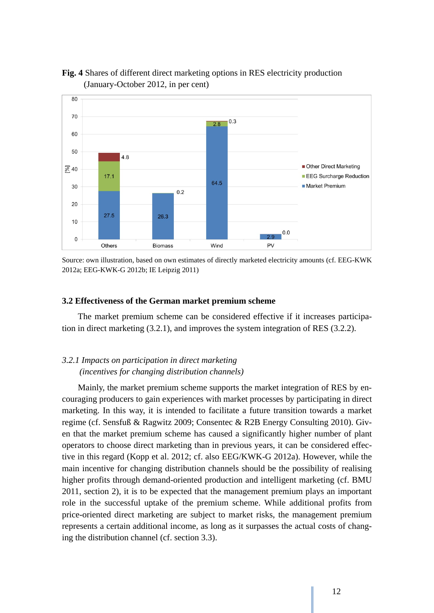

# **Fig. 4** Shares of different direct marketing options in RES electricity production (January-October 2012, in per cent)

Source: own illustration, based on own estimates of directly marketed electricity amounts (cf. EEG-KWK 2012a; EEG-KWK-G 2012b; IE Leipzig 2011)

#### **3.2 Effectiveness of the German market premium scheme**

The market premium scheme can be considered effective if it increases participation in direct marketing (3.2.1), and improves the system integration of RES (3.2.2).

## *3.2.1 Impacts on participation in direct marketing (incentives for changing distribution channels)*

Mainly, the market premium scheme supports the market integration of RES by encouraging producers to gain experiences with market processes by participating in direct marketing. In this way, it is intended to facilitate a future transition towards a market regime (cf. Sensfuß & Ragwitz 2009; Consentec & R2B Energy Consulting 2010). Given that the market premium scheme has caused a significantly higher number of plant operators to choose direct marketing than in previous years, it can be considered effective in this regard (Kopp et al. 2012; cf. also EEG/KWK-G 2012a). However, while the main incentive for changing distribution channels should be the possibility of realising higher profits through demand-oriented production and intelligent marketing (cf. BMU 2011, section 2), it is to be expected that the management premium plays an important role in the successful uptake of the premium scheme. While additional profits from price-oriented direct marketing are subject to market risks, the management premium represents a certain additional income, as long as it surpasses the actual costs of changing the distribution channel (cf. section 3.3).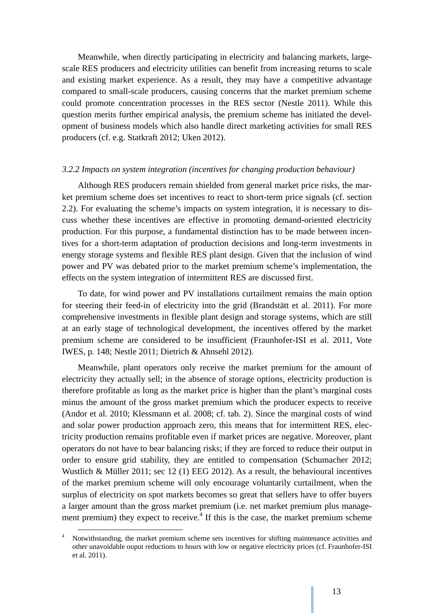Meanwhile, when directly participating in electricity and balancing markets, largescale RES producers and electricity utilities can benefit from increasing returns to scale and existing market experience. As a result, they may have a competitive advantage compared to small-scale producers, causing concerns that the market premium scheme could promote concentration processes in the RES sector (Nestle 2011). While this question merits further empirical analysis, the premium scheme has initiated the development of business models which also handle direct marketing activities for small RES producers (cf. e.g. Statkraft 2012; Uken 2012).

#### *3.2.2 Impacts on system integration (incentives for changing production behaviour)*

Although RES producers remain shielded from general market price risks, the market premium scheme does set incentives to react to short-term price signals (cf. section 2.2). For evaluating the scheme's impacts on system integration, it is necessary to discuss whether these incentives are effective in promoting demand-oriented electricity production. For this purpose, a fundamental distinction has to be made between incentives for a short-term adaptation of production decisions and long-term investments in energy storage systems and flexible RES plant design. Given that the inclusion of wind power and PV was debated prior to the market premium scheme's implementation, the effects on the system integration of intermittent RES are discussed first.

To date, for wind power and PV installations curtailment remains the main option for steering their feed-in of electricity into the grid (Brandstätt et al. 2011). For more comprehensive investments in flexible plant design and storage systems, which are still at an early stage of technological development, the incentives offered by the market premium scheme are considered to be insufficient (Fraunhofer-ISI et al. 2011, Vote IWES, p. 148; Nestle 2011; Dietrich & Ahnsehl 2012).

Meanwhile, plant operators only receive the market premium for the amount of electricity they actually sell; in the absence of storage options, electricity production is therefore profitable as long as the market price is higher than the plant's marginal costs minus the amount of the gross market premium which the producer expects to receive (Andor et al. 2010; Klessmann et al. 2008; cf. tab. 2). Since the marginal costs of wind and solar power production approach zero, this means that for intermittent RES, electricity production remains profitable even if market prices are negative. Moreover, plant operators do not have to bear balancing risks; if they are forced to reduce their output in order to ensure grid stability, they are entitled to compensation (Schumacher 2012; Wustlich & Müller 2011; sec 12 (1) EEG 2012). As a result, the behavioural incentives of the market premium scheme will only encourage voluntarily curtailment, when the surplus of electricity on spot markets becomes so great that sellers have to offer buyers a larger amount than the gross market premium (i.e. net market premium plus management premium) they expect to receive. $4$  If this is the case, the market premium scheme

<sup>&</sup>lt;sup>4</sup> Notwithstanding, the market premium scheme sets incentives for shifting maintenance activities and other unavoidable ouput reductions to hours with low or negative electricity prices (cf. Fraunhofer-ISI et al. 2011).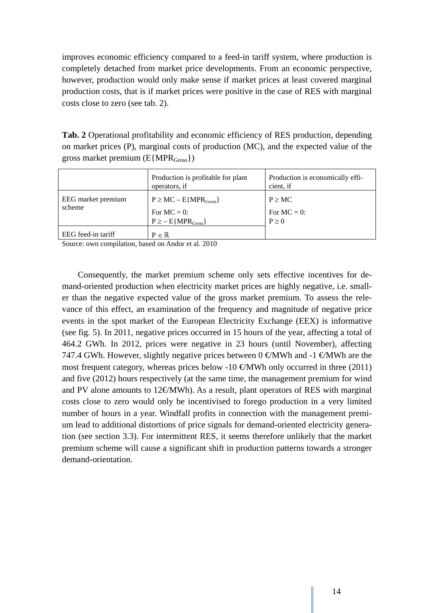improves economic efficiency compared to a feed-in tariff system, where production is completely detached from market price developments. From an economic perspective, however, production would only make sense if market prices at least covered marginal production costs, that is if market prices were positive in the case of RES with marginal costs close to zero (see tab. 2).

**Tab. 2** Operational profitability and economic efficiency of RES production, depending on market prices (P), marginal costs of production (MC), and the expected value of the gross market premium  $(E\{MPR<sub>Gross</sub>\})$ 

|                    | Production is profitable for plant<br>operators, if | Production is economically effi-<br>cient, if |
|--------------------|-----------------------------------------------------|-----------------------------------------------|
| EEG market premium | $P \geq MC - E\{MPR_{Gross}\}$                      | $P \geq MC$                                   |
| scheme             | For $MC = 0$ :                                      | For $MC = 0$ :                                |
|                    | $P \geq -E\{MPR_{Gross}\}$                          | $P \geq 0$                                    |
| EEG feed-in tariff | $P \in \mathbb{R}$                                  |                                               |

Source: own compilation, based on Andor et al. 2010

Consequently, the market premium scheme only sets effective incentives for demand-oriented production when electricity market prices are highly negative, i.e. smaller than the negative expected value of the gross market premium. To assess the relevance of this effect, an examination of the frequency and magnitude of negative price events in the spot market of the European Electricity Exchange (EEX) is informative (see fig. 5). In 2011, negative prices occurred in 15 hours of the year, affecting a total of 464.2 GWh. In 2012, prices were negative in 23 hours (until November), affecting 747.4 GWh. However, slightly negative prices between 0  $\in$ MWh and -1  $\in$ MWh are the most frequent category, whereas prices below -10  $\infty$ MWh only occurred in three (2011) and five (2012) hours respectively (at the same time, the management premium for wind and PV alone amounts to 12€/MWh). As a result, plant operators of RES with marginal costs close to zero would only be incentivised to forego production in a very limited number of hours in a year. Windfall profits in connection with the management premium lead to additional distortions of price signals for demand-oriented electricity generation (see section 3.3). For intermittent RES, it seems therefore unlikely that the market premium scheme will cause a significant shift in production patterns towards a stronger demand-orientation.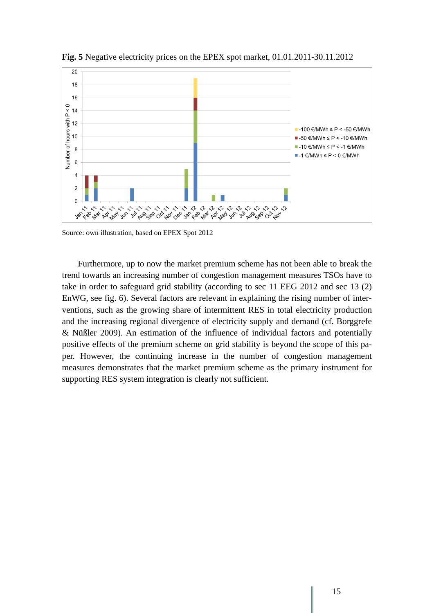

**Fig. 5** Negative electricity prices on the EPEX spot market, 01.01.2011-30.11.2012

Source: own illustration, based on EPEX Spot 2012

Furthermore, up to now the market premium scheme has not been able to break the trend towards an increasing number of congestion management measures TSOs have to take in order to safeguard grid stability (according to sec 11 EEG 2012 and sec 13 (2) EnWG, see fig. 6). Several factors are relevant in explaining the rising number of interventions, such as the growing share of intermittent RES in total electricity production and the increasing regional divergence of electricity supply and demand (cf. Borggrefe & Nüßler 2009). An estimation of the influence of individual factors and potentially positive effects of the premium scheme on grid stability is beyond the scope of this paper. However, the continuing increase in the number of congestion management measures demonstrates that the market premium scheme as the primary instrument for supporting RES system integration is clearly not sufficient.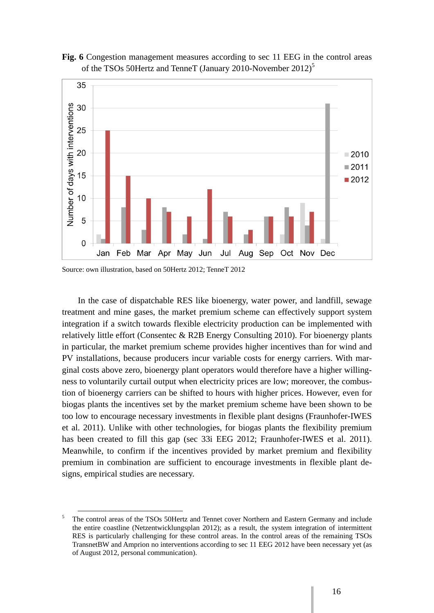

**Fig. 6** Congestion management measures according to sec 11 EEG in the control areas of the TSOs 50Hertz and TenneT (January 2010-November 2012)<sup>5</sup>

Source: own illustration, based on 50Hertz 2012; TenneT 2012

In the case of dispatchable RES like bioenergy, water power, and landfill, sewage treatment and mine gases, the market premium scheme can effectively support system integration if a switch towards flexible electricity production can be implemented with relatively little effort (Consentec & R2B Energy Consulting 2010). For bioenergy plants in particular, the market premium scheme provides higher incentives than for wind and PV installations, because producers incur variable costs for energy carriers. With marginal costs above zero, bioenergy plant operators would therefore have a higher willingness to voluntarily curtail output when electricity prices are low; moreover, the combustion of bioenergy carriers can be shifted to hours with higher prices. However, even for biogas plants the incentives set by the market premium scheme have been shown to be too low to encourage necessary investments in flexible plant designs (Fraunhofer-IWES et al. 2011). Unlike with other technologies, for biogas plants the flexibility premium has been created to fill this gap (sec 33i EEG 2012; Fraunhofer-IWES et al. 2011). Meanwhile, to confirm if the incentives provided by market premium and flexibility premium in combination are sufficient to encourage investments in flexible plant designs, empirical studies are necessary.

<sup>&</sup>lt;sup>5</sup> The control areas of the TSOs 50Hertz and Tennet cover Northern and Eastern Germany and include the entire coastline (Netzentwicklungsplan 2012); as a result, the system integration of intermittent RES is particularly challenging for these control areas. In the control areas of the remaining TSOs TransnetBW and Amprion no interventions according to sec 11 EEG 2012 have been necessary yet (as of August 2012, personal communication).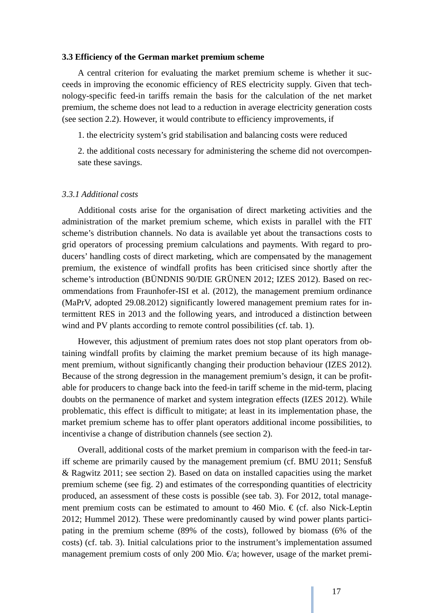#### **3.3 Efficiency of the German market premium scheme**

A central criterion for evaluating the market premium scheme is whether it succeeds in improving the economic efficiency of RES electricity supply. Given that technology-specific feed-in tariffs remain the basis for the calculation of the net market premium, the scheme does not lead to a reduction in average electricity generation costs (see section 2.2). However, it would contribute to efficiency improvements, if

1. the electricity system's grid stabilisation and balancing costs were reduced

2. the additional costs necessary for administering the scheme did not overcompensate these savings.

#### *3.3.1 Additional costs*

Additional costs arise for the organisation of direct marketing activities and the administration of the market premium scheme, which exists in parallel with the FIT scheme's distribution channels. No data is available yet about the transactions costs to grid operators of processing premium calculations and payments. With regard to producers' handling costs of direct marketing, which are compensated by the management premium, the existence of windfall profits has been criticised since shortly after the scheme's introduction (BÜNDNIS 90/DIE GRÜNEN 2012; IZES 2012). Based on recommendations from Fraunhofer-ISI et al. (2012), the management premium ordinance (MaPrV, adopted 29.08.2012) significantly lowered management premium rates for intermittent RES in 2013 and the following years, and introduced a distinction between wind and PV plants according to remote control possibilities (cf. tab. 1).

However, this adjustment of premium rates does not stop plant operators from obtaining windfall profits by claiming the market premium because of its high management premium, without significantly changing their production behaviour (IZES 2012). Because of the strong degression in the management premium's design, it can be profitable for producers to change back into the feed-in tariff scheme in the mid-term, placing doubts on the permanence of market and system integration effects (IZES 2012). While problematic, this effect is difficult to mitigate; at least in its implementation phase, the market premium scheme has to offer plant operators additional income possibilities, to incentivise a change of distribution channels (see section 2).

Overall, additional costs of the market premium in comparison with the feed-in tariff scheme are primarily caused by the management premium (cf. BMU 2011; Sensfuß & Ragwitz 2011; see section 2). Based on data on installed capacities using the market premium scheme (see fig. 2) and estimates of the corresponding quantities of electricity produced, an assessment of these costs is possible (see tab. 3). For 2012, total management premium costs can be estimated to amount to 460 Mio.  $\epsilon$  (cf. also Nick-Leptin 2012; Hummel 2012). These were predominantly caused by wind power plants participating in the premium scheme (89% of the costs), followed by biomass (6% of the costs) (cf. tab. 3). Initial calculations prior to the instrument's implementation assumed management premium costs of only 200 Mio.  $\epsilon a$ ; however, usage of the market premi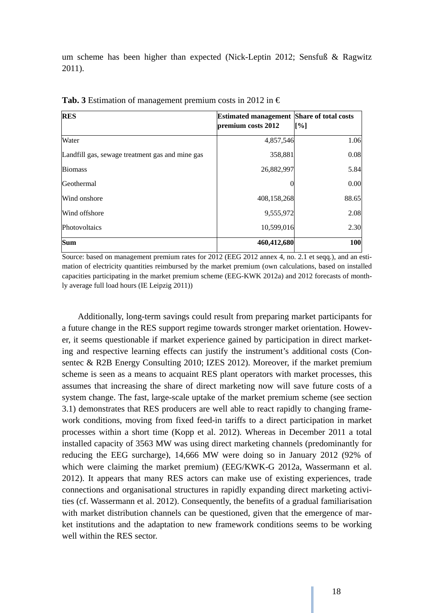um scheme has been higher than expected (Nick-Leptin 2012; Sensfuß & Ragwitz 2011).

| <b>RES</b>                                      | <b>Estimated management Share of total costs</b><br>premium costs 2012 | [%]   |
|-------------------------------------------------|------------------------------------------------------------------------|-------|
| Water                                           | 4,857,546                                                              | 1.06  |
| Landfill gas, sewage treatment gas and mine gas | 358,881                                                                | 0.08  |
| <b>Biomass</b>                                  | 26,882,997                                                             | 5.84  |
| Geothermal                                      |                                                                        | 0.00  |
| Wind onshore                                    | 408,158,268                                                            | 88.65 |
| Wind offshore                                   | 9,555,972                                                              | 2.08  |
| Photovoltaics                                   | 10,599,016                                                             | 2.30  |
| <b>Sum</b>                                      | 460,412,680                                                            | 100   |

**Tab. 3** Estimation of management premium costs in 2012 in  $\epsilon$ 

Source: based on management premium rates for 2012 (EEG 2012 annex 4, no. 2.1 et seqq.), and an estimation of electricity quantities reimbursed by the market premium (own calculations, based on installed capacities participating in the market premium scheme (EEG-KWK 2012a) and 2012 forecasts of monthly average full load hours (IE Leipzig 2011))

Additionally, long-term savings could result from preparing market participants for a future change in the RES support regime towards stronger market orientation. However, it seems questionable if market experience gained by participation in direct marketing and respective learning effects can justify the instrument's additional costs (Consentec & R2B Energy Consulting 2010; IZES 2012). Moreover, if the market premium scheme is seen as a means to acquaint RES plant operators with market processes, this assumes that increasing the share of direct marketing now will save future costs of a system change. The fast, large-scale uptake of the market premium scheme (see section 3.1) demonstrates that RES producers are well able to react rapidly to changing framework conditions, moving from fixed feed-in tariffs to a direct participation in market processes within a short time (Kopp et al. 2012). Whereas in December 2011 a total installed capacity of 3563 MW was using direct marketing channels (predominantly for reducing the EEG surcharge), 14,666 MW were doing so in January 2012 (92% of which were claiming the market premium) (EEG/KWK-G 2012a, Wassermann et al. 2012). It appears that many RES actors can make use of existing experiences, trade connections and organisational structures in rapidly expanding direct marketing activities (cf. Wassermann et al. 2012). Consequently, the benefits of a gradual familiarisation with market distribution channels can be questioned, given that the emergence of market institutions and the adaptation to new framework conditions seems to be working well within the RES sector.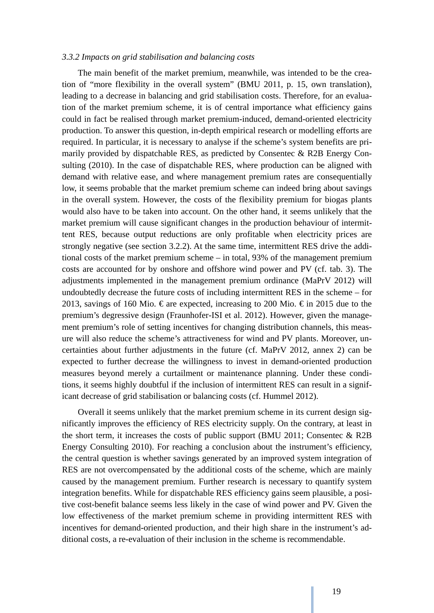#### *3.3.2 Impacts on grid stabilisation and balancing costs*

The main benefit of the market premium, meanwhile, was intended to be the creation of "more flexibility in the overall system" (BMU 2011, p. 15, own translation), leading to a decrease in balancing and grid stabilisation costs. Therefore, for an evaluation of the market premium scheme, it is of central importance what efficiency gains could in fact be realised through market premium-induced, demand-oriented electricity production. To answer this question, in-depth empirical research or modelling efforts are required. In particular, it is necessary to analyse if the scheme's system benefits are primarily provided by dispatchable RES, as predicted by Consentec & R2B Energy Consulting (2010). In the case of dispatchable RES, where production can be aligned with demand with relative ease, and where management premium rates are consequentially low, it seems probable that the market premium scheme can indeed bring about savings in the overall system. However, the costs of the flexibility premium for biogas plants would also have to be taken into account. On the other hand, it seems unlikely that the market premium will cause significant changes in the production behaviour of intermittent RES, because output reductions are only profitable when electricity prices are strongly negative (see section 3.2.2). At the same time, intermittent RES drive the additional costs of the market premium scheme – in total, 93% of the management premium costs are accounted for by onshore and offshore wind power and PV (cf. tab. 3). The adjustments implemented in the management premium ordinance (MaPrV 2012) will undoubtedly decrease the future costs of including intermittent RES in the scheme – for 2013, savings of 160 Mio.  $\epsilon$  are expected, increasing to 200 Mio.  $\epsilon$  in 2015 due to the premium's degressive design (Fraunhofer-ISI et al. 2012). However, given the management premium's role of setting incentives for changing distribution channels, this measure will also reduce the scheme's attractiveness for wind and PV plants. Moreover, uncertainties about further adjustments in the future (cf. MaPrV 2012, annex 2) can be expected to further decrease the willingness to invest in demand-oriented production measures beyond merely a curtailment or maintenance planning. Under these conditions, it seems highly doubtful if the inclusion of intermittent RES can result in a significant decrease of grid stabilisation or balancing costs (cf. Hummel 2012).

Overall it seems unlikely that the market premium scheme in its current design significantly improves the efficiency of RES electricity supply. On the contrary, at least in the short term, it increases the costs of public support (BMU 2011; Consentec  $\&$  R2B Energy Consulting 2010). For reaching a conclusion about the instrument's efficiency, the central question is whether savings generated by an improved system integration of RES are not overcompensated by the additional costs of the scheme, which are mainly caused by the management premium. Further research is necessary to quantify system integration benefits. While for dispatchable RES efficiency gains seem plausible, a positive cost-benefit balance seems less likely in the case of wind power and PV. Given the low effectiveness of the market premium scheme in providing intermittent RES with incentives for demand-oriented production, and their high share in the instrument's additional costs, a re-evaluation of their inclusion in the scheme is recommendable.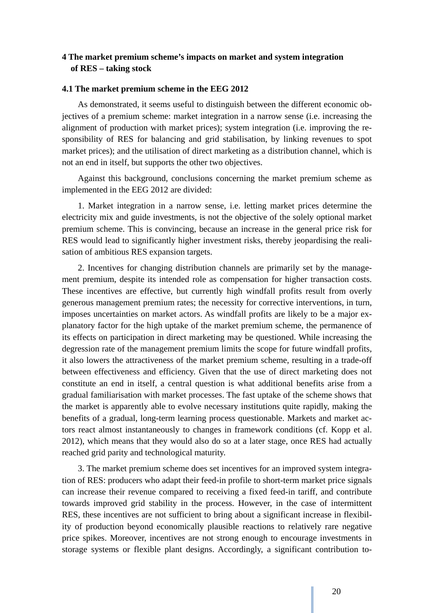## **4 The market premium scheme's impacts on market and system integration of RES – taking stock**

#### **4.1 The market premium scheme in the EEG 2012**

As demonstrated, it seems useful to distinguish between the different economic objectives of a premium scheme: market integration in a narrow sense (i.e. increasing the alignment of production with market prices); system integration (i.e. improving the responsibility of RES for balancing and grid stabilisation, by linking revenues to spot market prices); and the utilisation of direct marketing as a distribution channel, which is not an end in itself, but supports the other two objectives.

Against this background, conclusions concerning the market premium scheme as implemented in the EEG 2012 are divided:

1. Market integration in a narrow sense, i.e. letting market prices determine the electricity mix and guide investments, is not the objective of the solely optional market premium scheme. This is convincing, because an increase in the general price risk for RES would lead to significantly higher investment risks, thereby jeopardising the realisation of ambitious RES expansion targets.

2. Incentives for changing distribution channels are primarily set by the management premium, despite its intended role as compensation for higher transaction costs. These incentives are effective, but currently high windfall profits result from overly generous management premium rates; the necessity for corrective interventions, in turn, imposes uncertainties on market actors. As windfall profits are likely to be a major explanatory factor for the high uptake of the market premium scheme, the permanence of its effects on participation in direct marketing may be questioned. While increasing the degression rate of the management premium limits the scope for future windfall profits, it also lowers the attractiveness of the market premium scheme, resulting in a trade-off between effectiveness and efficiency. Given that the use of direct marketing does not constitute an end in itself, a central question is what additional benefits arise from a gradual familiarisation with market processes. The fast uptake of the scheme shows that the market is apparently able to evolve necessary institutions quite rapidly, making the benefits of a gradual, long-term learning process questionable. Markets and market actors react almost instantaneously to changes in framework conditions (cf. Kopp et al. 2012), which means that they would also do so at a later stage, once RES had actually reached grid parity and technological maturity.

3. The market premium scheme does set incentives for an improved system integration of RES: producers who adapt their feed-in profile to short-term market price signals can increase their revenue compared to receiving a fixed feed-in tariff, and contribute towards improved grid stability in the process. However, in the case of intermittent RES, these incentives are not sufficient to bring about a significant increase in flexibility of production beyond economically plausible reactions to relatively rare negative price spikes. Moreover, incentives are not strong enough to encourage investments in storage systems or flexible plant designs. Accordingly, a significant contribution to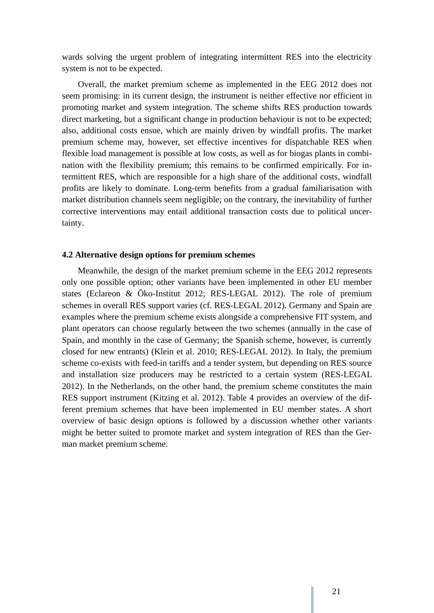wards solving the urgent problem of integrating intermittent RES into the electricity system is not to be expected.

Overall, the market premium scheme as implemented in the EEG 2012 does not seem promising: in its current design, the instrument is neither effective nor efficient in promoting market and system integration. The scheme shifts RES production towards direct marketing, but a significant change in production behaviour is not to be expected; also, additional costs ensue, which are mainly driven by windfall profits. The market premium scheme may, however, set effective incentives for dispatchable RES when flexible load management is possible at low costs, as well as for biogas plants in combination with the flexibility premium; this remains to be confirmed empirically. For intermittent RES, which are responsible for a high share of the additional costs, windfall profits are likely to dominate. Long-term benefits from a gradual familiarisation with market distribution channels seem negligible; on the contrary, the inevitability of further corrective interventions may entail additional transaction costs due to political uncertainty.

#### **4.2 Alternative design options for premium schemes**

Meanwhile, the design of the market premium scheme in the EEG 2012 represents only one possible option; other variants have been implemented in other EU member states (Eclareon & Öko-Institut 2012; RES-LEGAL 2012). The role of premium schemes in overall RES support varies (cf. RES-LEGAL 2012). Germany and Spain are examples where the premium scheme exists alongside a comprehensive FIT system, and plant operators can choose regularly between the two schemes (annually in the case of Spain, and monthly in the case of Germany; the Spanish scheme, however, is currently closed for new entrants) (Klein et al. 2010; RES-LEGAL 2012). In Italy, the premium scheme co-exists with feed-in tariffs and a tender system, but depending on RES source and installation size producers may be restricted to a certain system (RES-LEGAL 2012). In the Netherlands, on the other hand, the premium scheme constitutes the main RES support instrument (Kitzing et al. 2012). Table 4 provides an overview of the different premium schemes that have been implemented in EU member states. A short overview of basic design options is followed by a discussion whether other variants might be better suited to promote market and system integration of RES than the German market premium scheme.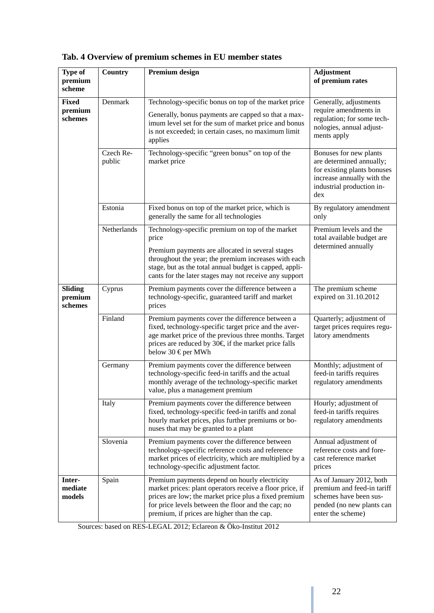| Type of            | Country     | <b>Premium design</b>                                                                                                                                                                                                                                     | <b>Adjustment</b>                                                                                                         |
|--------------------|-------------|-----------------------------------------------------------------------------------------------------------------------------------------------------------------------------------------------------------------------------------------------------------|---------------------------------------------------------------------------------------------------------------------------|
| premium<br>scheme  |             |                                                                                                                                                                                                                                                           | of premium rates                                                                                                          |
| <b>Fixed</b>       | Denmark     | Technology-specific bonus on top of the market price                                                                                                                                                                                                      | Generally, adjustments                                                                                                    |
| premium<br>schemes |             | Generally, bonus payments are capped so that a max-                                                                                                                                                                                                       | require amendments in<br>regulation; for some tech-                                                                       |
|                    |             | imum level set for the sum of market price and bonus<br>is not exceeded; in certain cases, no maximum limit                                                                                                                                               | nologies, annual adjust-                                                                                                  |
|                    |             | applies                                                                                                                                                                                                                                                   | ments apply                                                                                                               |
|                    | Czech Re-   | Technology-specific "green bonus" on top of the                                                                                                                                                                                                           | Bonuses for new plants                                                                                                    |
|                    | public      | market price                                                                                                                                                                                                                                              | are determined annually;<br>for existing plants bonuses<br>increase annually with the<br>industrial production in-<br>dex |
|                    | Estonia     | Fixed bonus on top of the market price, which is<br>generally the same for all technologies                                                                                                                                                               | By regulatory amendment<br>only                                                                                           |
|                    | Netherlands | Technology-specific premium on top of the market<br>price                                                                                                                                                                                                 | Premium levels and the<br>total available budget are<br>determined annually                                               |
|                    |             | Premium payments are allocated in several stages<br>throughout the year; the premium increases with each<br>stage, but as the total annual budget is capped, appli-<br>cants for the later stages may not receive any support                             |                                                                                                                           |
| <b>Sliding</b>     | Cyprus      | Premium payments cover the difference between a                                                                                                                                                                                                           | The premium scheme                                                                                                        |
| premium<br>schemes |             | technology-specific, guaranteed tariff and market<br>prices                                                                                                                                                                                               | expired on 31.10.2012                                                                                                     |
|                    | Finland     | Premium payments cover the difference between a<br>fixed, technology-specific target price and the aver-<br>age market price of the previous three months. Target<br>prices are reduced by $30 \in \text{if the market price falls}$<br>below 30 €per MWh | Quarterly; adjustment of<br>target prices requires regu-<br>latory amendments                                             |
|                    | Germany     | Premium payments cover the difference between                                                                                                                                                                                                             | Monthly; adjustment of                                                                                                    |
|                    |             | technology-specific feed-in tariffs and the actual<br>monthly average of the technology-specific market<br>value, plus a management premium                                                                                                               | feed-in tariffs requires<br>regulatory amendments                                                                         |
|                    | Italy       | Premium payments cover the difference between<br>fixed, technology-specific feed-in tariffs and zonal<br>hourly market prices, plus further premiums or bo-<br>nuses that may be granted to a plant                                                       | Hourly; adjustment of<br>feed-in tariffs requires<br>regulatory amendments                                                |
|                    | Slovenia    | Premium payments cover the difference between                                                                                                                                                                                                             | Annual adjustment of                                                                                                      |
|                    |             | technology-specific reference costs and reference<br>market prices of electricity, which are multiplied by a<br>technology-specific adjustment factor.                                                                                                    | reference costs and fore-<br>cast reference market<br>prices                                                              |
| Inter-<br>mediate  | Spain       | Premium payments depend on hourly electricity                                                                                                                                                                                                             | As of January 2012, both<br>premium and feed-in tariff                                                                    |
| models             |             | market prices: plant operators receive a floor price, if<br>prices are low; the market price plus a fixed premium<br>for price levels between the floor and the cap; no<br>premium, if prices are higher than the cap.                                    | schemes have been sus-<br>pended (no new plants can<br>enter the scheme)                                                  |

# **Tab. 4 Overview of premium schemes in EU member states**

Sources: based on RES-LEGAL 2012; Eclareon & Öko-Institut 2012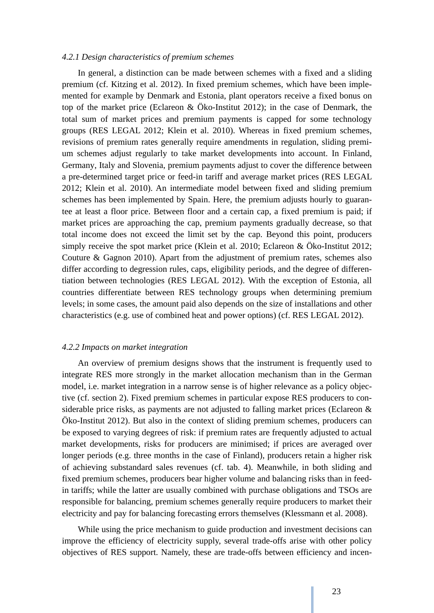#### *4.2.1 Design characteristics of premium schemes*

In general, a distinction can be made between schemes with a fixed and a sliding premium (cf. Kitzing et al. 2012). In fixed premium schemes, which have been implemented for example by Denmark and Estonia, plant operators receive a fixed bonus on top of the market price (Eclareon & Öko-Institut 2012); in the case of Denmark, the total sum of market prices and premium payments is capped for some technology groups (RES LEGAL 2012; Klein et al. 2010). Whereas in fixed premium schemes, revisions of premium rates generally require amendments in regulation, sliding premium schemes adjust regularly to take market developments into account. In Finland, Germany, Italy and Slovenia, premium payments adjust to cover the difference between a pre-determined target price or feed-in tariff and average market prices (RES LEGAL 2012; Klein et al. 2010). An intermediate model between fixed and sliding premium schemes has been implemented by Spain. Here, the premium adjusts hourly to guarantee at least a floor price. Between floor and a certain cap, a fixed premium is paid; if market prices are approaching the cap, premium payments gradually decrease, so that total income does not exceed the limit set by the cap. Beyond this point, producers simply receive the spot market price (Klein et al. 2010; Eclareon & Öko-Institut 2012; Couture & Gagnon 2010). Apart from the adjustment of premium rates, schemes also differ according to degression rules, caps, eligibility periods, and the degree of differentiation between technologies (RES LEGAL 2012). With the exception of Estonia, all countries differentiate between RES technology groups when determining premium levels; in some cases, the amount paid also depends on the size of installations and other characteristics (e.g. use of combined heat and power options) (cf. RES LEGAL 2012).

#### *4.2.2 Impacts on market integration*

An overview of premium designs shows that the instrument is frequently used to integrate RES more strongly in the market allocation mechanism than in the German model, i.e. market integration in a narrow sense is of higher relevance as a policy objective (cf. section 2). Fixed premium schemes in particular expose RES producers to considerable price risks, as payments are not adjusted to falling market prices (Eclareon & Öko-Institut 2012). But also in the context of sliding premium schemes, producers can be exposed to varying degrees of risk: if premium rates are frequently adjusted to actual market developments, risks for producers are minimised; if prices are averaged over longer periods (e.g. three months in the case of Finland), producers retain a higher risk of achieving substandard sales revenues (cf. tab. 4). Meanwhile, in both sliding and fixed premium schemes, producers bear higher volume and balancing risks than in feedin tariffs; while the latter are usually combined with purchase obligations and TSOs are responsible for balancing, premium schemes generally require producers to market their electricity and pay for balancing forecasting errors themselves (Klessmann et al. 2008).

While using the price mechanism to guide production and investment decisions can improve the efficiency of electricity supply, several trade-offs arise with other policy objectives of RES support. Namely, these are trade-offs between efficiency and incen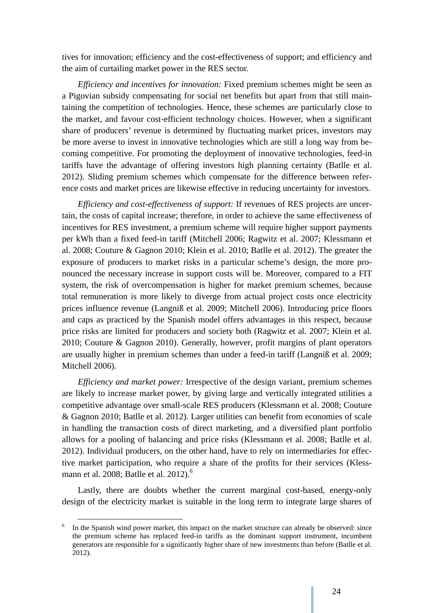tives for innovation; efficiency and the cost-effectiveness of support; and efficiency and the aim of curtailing market power in the RES sector.

*Efficiency and incentives for innovation:* Fixed premium schemes might be seen as a Pigovian subsidy compensating for social net benefits but apart from that still maintaining the competition of technologies. Hence, these schemes are particularly close to the market, and favour cost-efficient technology choices. However, when a significant share of producers' revenue is determined by fluctuating market prices, investors may be more averse to invest in innovative technologies which are still a long way from becoming competitive. For promoting the deployment of innovative technologies, feed-in tariffs have the advantage of offering investors high planning certainty (Batlle et al. 2012). Sliding premium schemes which compensate for the difference between reference costs and market prices are likewise effective in reducing uncertainty for investors.

*Efficiency and cost-effectiveness of support:* If revenues of RES projects are uncertain, the costs of capital increase; therefore, in order to achieve the same effectiveness of incentives for RES investment, a premium scheme will require higher support payments per kWh than a fixed feed-in tariff (Mitchell 2006; Ragwitz et al. 2007; Klessmann et al. 2008; Couture & Gagnon 2010; Klein et al. 2010; Batlle et al. 2012). The greater the exposure of producers to market risks in a particular scheme's design, the more pronounced the necessary increase in support costs will be. Moreover, compared to a FIT system, the risk of overcompensation is higher for market premium schemes, because total remuneration is more likely to diverge from actual project costs once electricity prices influence revenue (Langniß et al. 2009; Mitchell 2006). Introducing price floors and caps as practiced by the Spanish model offers advantages in this respect, because price risks are limited for producers and society both (Ragwitz et al. 2007; Klein et al. 2010; Couture & Gagnon 2010). Generally, however, profit margins of plant operators are usually higher in premium schemes than under a feed-in tariff (Langniß et al. 2009; Mitchell 2006).

*Efficiency and market power:* Irrespective of the design variant, premium schemes are likely to increase market power, by giving large and vertically integrated utilities a competitive advantage over small-scale RES producers (Klessmann et al. 2008; Couture & Gagnon 2010; Batlle et al. 2012). Larger utilities can benefit from economies of scale in handling the transaction costs of direct marketing, and a diversified plant portfolio allows for a pooling of balancing and price risks (Klessmann et al. 2008; Batlle et al. 2012). Individual producers, on the other hand, have to rely on intermediaries for effective market participation, who require a share of the profits for their services (Klessmann et al. 2008; Batlle et al. 2012).<sup>6</sup>

Lastly, there are doubts whether the current marginal cost-based, energy-only design of the electricity market is suitable in the long term to integrate large shares of

<sup>&</sup>lt;sup>6</sup> In the Spanish wind power market, this impact on the market structure can already be observed: since the premium scheme has replaced feed-in tariffs as the dominant support instrument, incumbent generators are responsible for a significantly higher share of new investments than before (Batlle et al. 2012).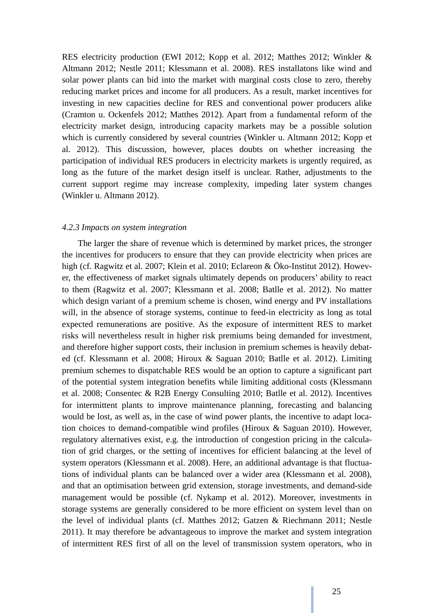RES electricity production (EWI 2012; Kopp et al. 2012; Matthes 2012; Winkler & Altmann 2012; Nestle 2011; Klessmann et al. 2008). RES installatons like wind and solar power plants can bid into the market with marginal costs close to zero, thereby reducing market prices and income for all producers. As a result, market incentives for investing in new capacities decline for RES and conventional power producers alike (Cramton u. Ockenfels 2012; Matthes 2012). Apart from a fundamental reform of the electricity market design, introducing capacity markets may be a possible solution which is currently considered by several countries (Winkler u. Altmann 2012; Kopp et al. 2012). This discussion, however, places doubts on whether increasing the participation of individual RES producers in electricity markets is urgently required, as long as the future of the market design itself is unclear. Rather, adjustments to the current support regime may increase complexity, impeding later system changes (Winkler u. Altmann 2012).

#### *4.2.3 Impacts on system integration*

The larger the share of revenue which is determined by market prices, the stronger the incentives for producers to ensure that they can provide electricity when prices are high (cf. Ragwitz et al. 2007; Klein et al. 2010; Eclareon & Öko-Institut 2012). However, the effectiveness of market signals ultimately depends on producers' ability to react to them (Ragwitz et al. 2007; Klessmann et al. 2008; Batlle et al. 2012). No matter which design variant of a premium scheme is chosen, wind energy and PV installations will, in the absence of storage systems, continue to feed-in electricity as long as total expected remunerations are positive. As the exposure of intermittent RES to market risks will nevertheless result in higher risk premiums being demanded for investment, and therefore higher support costs, their inclusion in premium schemes is heavily debated (cf. Klessmann et al. 2008; Hiroux & Saguan 2010; Batlle et al. 2012). Limiting premium schemes to dispatchable RES would be an option to capture a significant part of the potential system integration benefits while limiting additional costs (Klessmann et al. 2008; Consentec & R2B Energy Consulting 2010; Batlle et al. 2012). Incentives for intermittent plants to improve maintenance planning, forecasting and balancing would be lost, as well as, in the case of wind power plants, the incentive to adapt location choices to demand-compatible wind profiles (Hiroux & Saguan 2010). However, regulatory alternatives exist, e.g. the introduction of congestion pricing in the calculation of grid charges, or the setting of incentives for efficient balancing at the level of system operators (Klessmann et al. 2008). Here, an additional advantage is that fluctuations of individual plants can be balanced over a wider area (Klessmann et al. 2008), and that an optimisation between grid extension, storage investments, and demand-side management would be possible (cf. Nykamp et al. 2012). Moreover, investments in storage systems are generally considered to be more efficient on system level than on the level of individual plants (cf. Matthes 2012; Gatzen & Riechmann 2011; Nestle 2011). It may therefore be advantageous to improve the market and system integration of intermittent RES first of all on the level of transmission system operators, who in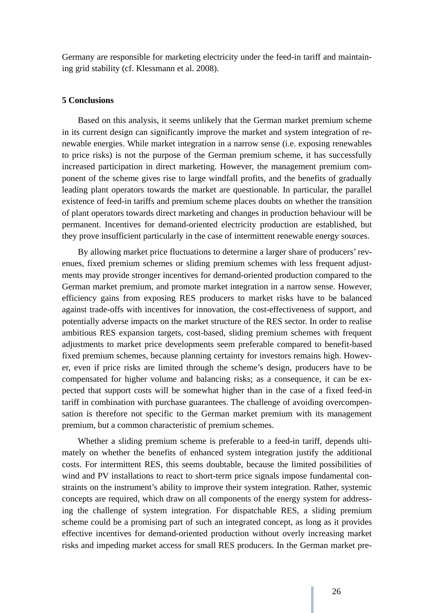Germany are responsible for marketing electricity under the feed-in tariff and maintaining grid stability (cf. Klessmann et al. 2008).

#### **5 Conclusions**

Based on this analysis, it seems unlikely that the German market premium scheme in its current design can significantly improve the market and system integration of renewable energies. While market integration in a narrow sense (i.e. exposing renewables to price risks) is not the purpose of the German premium scheme, it has successfully increased participation in direct marketing. However, the management premium component of the scheme gives rise to large windfall profits, and the benefits of gradually leading plant operators towards the market are questionable. In particular, the parallel existence of feed-in tariffs and premium scheme places doubts on whether the transition of plant operators towards direct marketing and changes in production behaviour will be permanent. Incentives for demand-oriented electricity production are established, but they prove insufficient particularly in the case of intermittent renewable energy sources.

By allowing market price fluctuations to determine a larger share of producers' revenues, fixed premium schemes or sliding premium schemes with less frequent adjustments may provide stronger incentives for demand-oriented production compared to the German market premium, and promote market integration in a narrow sense. However, efficiency gains from exposing RES producers to market risks have to be balanced against trade-offs with incentives for innovation, the cost-effectiveness of support, and potentially adverse impacts on the market structure of the RES sector. In order to realise ambitious RES expansion targets, cost-based, sliding premium schemes with frequent adjustments to market price developments seem preferable compared to benefit-based fixed premium schemes, because planning certainty for investors remains high. However, even if price risks are limited through the scheme's design, producers have to be compensated for higher volume and balancing risks; as a consequence, it can be expected that support costs will be somewhat higher than in the case of a fixed feed-in tariff in combination with purchase guarantees. The challenge of avoiding overcompensation is therefore not specific to the German market premium with its management premium, but a common characteristic of premium schemes.

Whether a sliding premium scheme is preferable to a feed-in tariff, depends ultimately on whether the benefits of enhanced system integration justify the additional costs. For intermittent RES, this seems doubtable, because the limited possibilities of wind and PV installations to react to short-term price signals impose fundamental constraints on the instrument's ability to improve their system integration. Rather, systemic concepts are required, which draw on all components of the energy system for addressing the challenge of system integration. For dispatchable RES, a sliding premium scheme could be a promising part of such an integrated concept, as long as it provides effective incentives for demand-oriented production without overly increasing market risks and impeding market access for small RES producers. In the German market pre-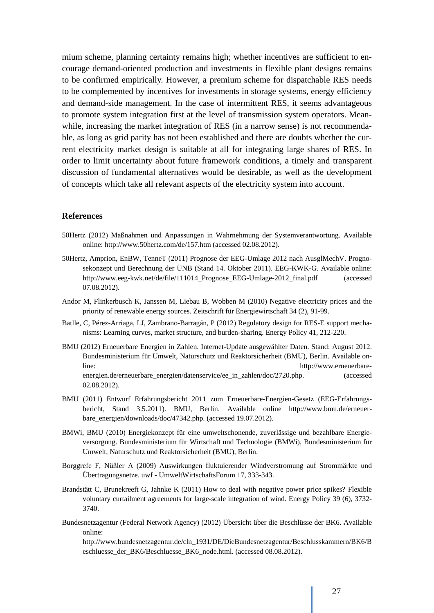mium scheme, planning certainty remains high; whether incentives are sufficient to encourage demand-oriented production and investments in flexible plant designs remains to be confirmed empirically. However, a premium scheme for dispatchable RES needs to be complemented by incentives for investments in storage systems, energy efficiency and demand-side management. In the case of intermittent RES, it seems advantageous to promote system integration first at the level of transmission system operators. Meanwhile, increasing the market integration of RES (in a narrow sense) is not recommendable, as long as grid parity has not been established and there are doubts whether the current electricity market design is suitable at all for integrating large shares of RES. In order to limit uncertainty about future framework conditions, a timely and transparent discussion of fundamental alternatives would be desirable, as well as the development of concepts which take all relevant aspects of the electricity system into account.

#### **References**

- 50Hertz (2012) Maßnahmen und Anpassungen in Wahrnehmung der Systemverantwortung. Available online: http://www.50hertz.com/de/157.htm (accessed 02.08.2012).
- 50Hertz, Amprion, EnBW, TenneT (2011) Prognose der EEG-Umlage 2012 nach AusglMechV. Prognosekonzept und Berechnung der ÜNB (Stand 14. Oktober 2011). EEG-KWK-G. Available online: http://www.eeg-kwk.net/de/file/111014\_Prognose\_EEG-Umlage-2012\_final.pdf (accessed 07.08.2012).
- Andor M, Flinkerbusch K, Janssen M, Liebau B, Wobben M (2010) Negative electricity prices and the priority of renewable energy sources. Zeitschrift für Energiewirtschaft 34 (2), 91-99.
- Batlle, C, Pérez-Arriaga, I.J, Zambrano-Barragán, P (2012) Regulatory design for RES-E support mechanisms: Learning curves, market structure, and burden-sharing. Energy Policy 41, 212-220.
- BMU (2012) Erneuerbare Energien in Zahlen. Internet-Update ausgewählter Daten. Stand: August 2012. Bundesministerium für Umwelt, Naturschutz und Reaktorsicherheit (BMU), Berlin. Available online: http://www.erneuerbareenergien.de/erneuerbare\_energien/datenservice/ee\_in\_zahlen/doc/2720.php. (accessed 02.08.2012).
- BMU (2011) Entwurf Erfahrungsbericht 2011 zum Erneuerbare-Energien-Gesetz (EEG-Erfahrungsbericht, Stand 3.5.2011). BMU, Berlin. Available online http://www.bmu.de/erneuerbare\_energien/downloads/doc/47342.php. (accessed 19.07.2012).
- BMWi, BMU (2010) Energiekonzept für eine umweltschonende, zuverlässige und bezahlbare Energieversorgung. Bundesministerium für Wirtschaft und Technologie (BMWi), Bundesministerium für Umwelt, Naturschutz und Reaktorsicherheit (BMU), Berlin.
- Borggrefe F, Nüßler A (2009) Auswirkungen fluktuierender Windverstromung auf Strommärkte und Übertragungsnetze. uwf - UmweltWirtschaftsForum 17, 333-343.
- Brandstätt C, Brunekreeft G, Jahnke K (2011) How to deal with negative power price spikes? Flexible voluntary curtailment agreements for large-scale integration of wind. Energy Policy 39 (6), 3732- 3740.
- Bundesnetzagentur (Federal Network Agency) (2012) Übersicht über die Beschlüsse der BK6. Available online:

http://www.bundesnetzagentur.de/cln\_1931/DE/DieBundesnetzagentur/Beschlusskammern/BK6/B eschluesse\_der\_BK6/Beschluesse\_BK6\_node.html. (accessed 08.08.2012).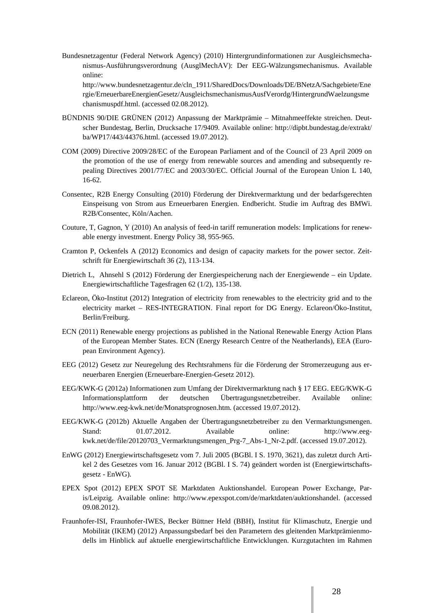Bundesnetzagentur (Federal Network Agency) (2010) Hintergrundinformationen zur Ausgleichsmechanismus-Ausführungsverordnung (AusglMechAV): Der EEG-Wälzungsmechanismus. Available online:

http://www.bundesnetzagentur.de/cln\_1911/SharedDocs/Downloads/DE/BNetzA/Sachgebiete/Ene rgie/ErneuerbareEnergienGesetz/AusgleichsmechanismusAusfVerordg/HintergrundWaelzungsme chanismuspdf.html. (accessed 02.08.2012).

- BÜNDNIS 90/DIE GRÜNEN (2012) Anpassung der Marktprämie Mitnahmeeffekte streichen. Deutscher Bundestag, Berlin, Drucksache 17/9409. Available online: http://dipbt.bundestag.de/extrakt/ ba/WP17/443/44376.html. (accessed 19.07.2012).
- COM (2009) Directive 2009/28/EC of the European Parliament and of the Council of 23 April 2009 on the promotion of the use of energy from renewable sources and amending and subsequently repealing Directives 2001/77/EC and 2003/30/EC. Official Journal of the European Union L 140, 16-62.
- Consentec, R2B Energy Consulting (2010) Förderung der Direktvermarktung und der bedarfsgerechten Einspeisung von Strom aus Erneuerbaren Energien. Endbericht. Studie im Auftrag des BMWi. R2B/Consentec, Köln/Aachen.
- Couture, T, Gagnon, Y (2010) An analysis of feed-in tariff remuneration models: Implications for renewable energy investment. Energy Policy 38, 955-965.
- Cramton P, Ockenfels A (2012) Economics and design of capacity markets for the power sector. Zeitschrift für Energiewirtschaft 36 (2), 113-134.
- Dietrich L, Ahnsehl S (2012) Förderung der Energiespeicherung nach der Energiewende ein Update. Energiewirtschaftliche Tagesfragen 62 (1/2), 135-138.
- Eclareon, Öko-Institut (2012) Integration of electricity from renewables to the electricity grid and to the electricity market – RES-INTEGRATION. Final report for DG Energy. Eclareon/Öko-Institut, Berlin/Freiburg.
- ECN (2011) Renewable energy projections as published in the National Renewable Energy Action Plans of the European Member States. ECN (Energy Research Centre of the Neatherlands), EEA (European Environment Agency).
- EEG (2012) Gesetz zur Neuregelung des Rechtsrahmens für die Förderung der Stromerzeugung aus erneuerbaren Energien (Erneuerbare-Energien-Gesetz 2012).
- EEG/KWK-G (2012a) Informationen zum Umfang der Direktvermarktung nach § 17 EEG. EEG/KWK-G Informationsplattform der deutschen Übertragungsnetzbetreiber. Available online: http://www.eeg-kwk.net/de/Monatsprognosen.htm. (accessed 19.07.2012).
- EEG/KWK-G (2012b) Aktuelle Angaben der Übertragungsnetzbetreiber zu den Vermarktungsmengen. Stand: 01.07.2012. Available online: http://www.eegkwk.net/de/file/20120703\_Vermarktungsmengen\_Prg-7\_Abs-1\_Nr-2.pdf. (accessed 19.07.2012).
- EnWG (2012) Energiewirtschaftsgesetz vom 7. Juli 2005 (BGBl. I S. 1970, 3621), das zuletzt durch Artikel 2 des Gesetzes vom 16. Januar 2012 (BGBl. I S. 74) geändert worden ist (Energiewirtschaftsgesetz - EnWG).
- EPEX Spot (2012) EPEX SPOT SE Marktdaten Auktionshandel. European Power Exchange, Paris/Leipzig. Available online: http://www.epexspot.com/de/marktdaten/auktionshandel. (accessed 09.08.2012).
- Fraunhofer-ISI, Fraunhofer-IWES, Becker Büttner Held (BBH), Institut für Klimaschutz, Energie und Mobilität (IKEM) (2012) Anpassungsbedarf bei den Parametern des gleitenden Marktprämienmodells im Hinblick auf aktuelle energiewirtschaftliche Entwicklungen. Kurzgutachten im Rahmen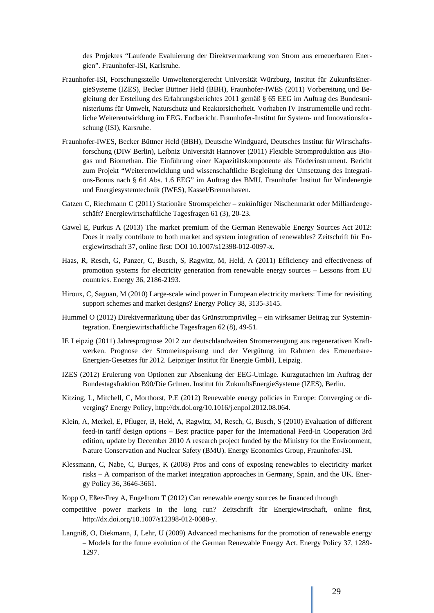des Projektes "Laufende Evaluierung der Direktvermarktung von Strom aus erneuerbaren Energien". Fraunhofer-ISI, Karlsruhe.

- Fraunhofer-ISI, Forschungsstelle Umweltenergierecht Universität Würzburg, Institut für ZukunftsEnergieSysteme (IZES), Becker Büttner Held (BBH), Fraunhofer-IWES (2011) Vorbereitung und Begleitung der Erstellung des Erfahrungsberichtes 2011 gemäß § 65 EEG im Auftrag des Bundesministeriums für Umwelt, Naturschutz und Reaktorsicherheit. Vorhaben IV Instrumentelle und rechtliche Weiterentwicklung im EEG. Endbericht. Fraunhofer-Institut für System- und Innovationsforschung (ISI), Karsruhe.
- Fraunhofer-IWES, Becker Büttner Held (BBH), Deutsche Windguard, Deutsches Institut für Wirtschaftsforschung (DIW Berlin), Leibniz Universität Hannover (2011) Flexible Stromproduktion aus Biogas und Biomethan. Die Einführung einer Kapazitätskomponente als Förderinstrument. Bericht zum Projekt "Weiterentwicklung und wissenschaftliche Begleitung der Umsetzung des Integrations-Bonus nach § 64 Abs. 1.6 EEG" im Auftrag des BMU. Fraunhofer Institut für Windenergie und Energiesystemtechnik (IWES), Kassel/Bremerhaven.
- Gatzen C, Riechmann C (2011) Stationäre Stromspeicher zukünftiger Nischenmarkt oder Milliardengeschäft? Energiewirtschaftliche Tagesfragen 61 (3), 20-23.
- Gawel E, Purkus A (2013) The market premium of the German Renewable Energy Sources Act 2012: Does it really contribute to both market and system integration of renewables? Zeitschrift für Energiewirtschaft 37, online first: DOI 10.1007/s12398-012-0097-x.
- Haas, R, Resch, G, Panzer, C, Busch, S, Ragwitz, M, Held, A (2011) Efficiency and effectiveness of promotion systems for electricity generation from renewable energy sources – Lessons from EU countries. Energy 36, 2186-2193.
- Hiroux, C, Saguan, M (2010) Large-scale wind power in European electricity markets: Time for revisiting support schemes and market designs? Energy Policy 38, 3135-3145.
- Hummel O (2012) Direktvermarktung über das Grünstromprivileg ein wirksamer Beitrag zur Systemintegration. Energiewirtschaftliche Tagesfragen 62 (8), 49-51.
- IE Leipzig (2011) Jahresprognose 2012 zur deutschlandweiten Stromerzeugung aus regenerativen Kraftwerken. Prognose der Stromeinspeisung und der Vergütung im Rahmen des Erneuerbare-Energien-Gesetzes für 2012. Leipziger Institut für Energie GmbH, Leipzig.
- IZES (2012) Eruierung von Optionen zur Absenkung der EEG-Umlage. Kurzgutachten im Auftrag der Bundestagsfraktion B90/Die Grünen. Institut für ZukunftsEnergieSysteme (IZES), Berlin.
- Kitzing, L, Mitchell, C, Morthorst, P.E (2012) Renewable energy policies in Europe: Converging or diverging? Energy Policy, http://dx.doi.org/10.1016/j.enpol.2012.08.064.
- Klein, A, Merkel, E, Pfluger, B, Held, A, Ragwitz, M, Resch, G, Busch, S (2010) Evaluation of different feed-in tariff design options – Best practice paper for the International Feed-In Cooperation 3rd edition, update by December 2010 A research project funded by the Ministry for the Environment, Nature Conservation and Nuclear Safety (BMU). Energy Economics Group, Fraunhofer-ISI.
- Klessmann, C, Nabe, C, Burges, K (2008) Pros and cons of exposing renewables to electricity market risks – A comparison of the market integration approaches in Germany, Spain, and the UK. Energy Policy 36, 3646-3661.
- Kopp O, Eßer-Frey A, Engelhorn T (2012) Can renewable energy sources be financed through
- competitive power markets in the long run? Zeitschrift für Energiewirtschaft, online first, http://dx.doi.org/10.1007/s12398-012-0088-y.
- Langniß, O, Diekmann, J, Lehr, U (2009) Advanced mechanisms for the promotion of renewable energy – Models for the future evolution of the German Renewable Energy Act. Energy Policy 37, 1289- 1297.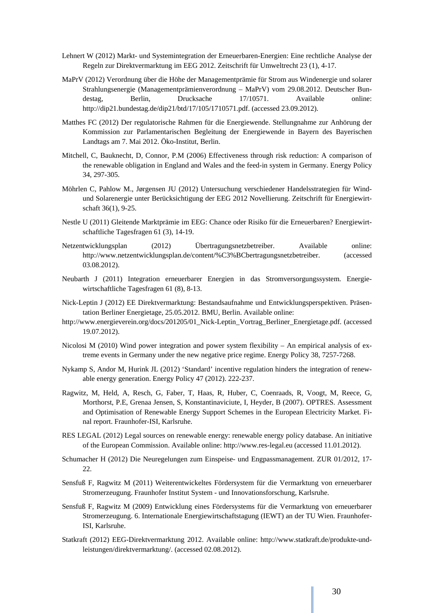- Lehnert W (2012) Markt- und Systemintegration der Erneuerbaren-Energien: Eine rechtliche Analyse der Regeln zur Direktvermarktung im EEG 2012. Zeitschrift für Umweltrecht 23 (1), 4-17.
- MaPrV (2012) Verordnung über die Höhe der Managementprämie für Strom aus Windenergie und solarer Strahlungsenergie (Managementprämienverordnung – MaPrV) vom 29.08.2012. Deutscher Bundestag, Berlin, Drucksache 17/10571. Available online: http://dip21.bundestag.de/dip21/btd/17/105/1710571.pdf. (accessed 23.09.2012).
- Matthes FC (2012) Der regulatorische Rahmen für die Energiewende. Stellungnahme zur Anhörung der Kommission zur Parlamentarischen Begleitung der Energiewende in Bayern des Bayerischen Landtags am 7. Mai 2012. Öko-Institut, Berlin.
- Mitchell, C, Bauknecht, D, Connor, P.M (2006) Effectiveness through risk reduction: A comparison of the renewable obligation in England and Wales and the feed-in system in Germany. Energy Policy 34, 297-305.
- Möhrlen C, Pahlow M., Jørgensen JU (2012) Untersuchung verschiedener Handelsstrategien für Windund Solarenergie unter Berücksichtigung der EEG 2012 Novellierung. Zeitschrift für Energiewirtschaft 36(1), 9-25.
- Nestle U (2011) Gleitende Marktprämie im EEG: Chance oder Risiko für die Erneuerbaren? Energiewirtschaftliche Tagesfragen 61 (3), 14-19.
- Netzentwicklungsplan (2012) Übertragungsnetzbetreiber. Available online: http://www.netzentwicklungsplan.de/content/%C3%BCbertragungsnetzbetreiber. (accessed 03.08.2012).
- Neubarth J (2011) Integration erneuerbarer Energien in das Stromversorgungssystem. Energiewirtschaftliche Tagesfragen 61 (8), 8-13.
- Nick-Leptin J (2012) EE Direktvermarktung: Bestandsaufnahme und Entwicklungsperspektiven. Präsentation Berliner Energietage, 25.05.2012. BMU, Berlin. Available online:
- http://www.energieverein.org/docs/201205/01\_Nick-Leptin\_Vortrag\_Berliner\_Energietage.pdf. (accessed 19.07.2012).
- Nicolosi M (2010) Wind power integration and power system flexibility An empirical analysis of extreme events in Germany under the new negative price regime. Energy Policy 38, 7257-7268.
- Nykamp S, Andor M, Hurink JL (2012) 'Standard' incentive regulation hinders the integration of renewable energy generation. Energy Policy 47 (2012). 222-237.
- Ragwitz, M, Held, A, Resch, G, Faber, T, Haas, R, Huber, C, Coenraads, R, Voogt, M, Reece, G, Morthorst, P.E, Grenaa Jensen, S, Konstantinaviciute, I, Heyder, B (2007). OPTRES. Assessment and Optimisation of Renewable Energy Support Schemes in the European Electricity Market. Final report. Fraunhofer-ISI, Karlsruhe.
- RES LEGAL (2012) Legal sources on renewable energy: renewable energy policy database. An initiative of the European Commission. Available online: http://www.res-legal.eu (accessed 11.01.2012).
- Schumacher H (2012) Die Neuregelungen zum Einspeise- und Engpassmanagement. ZUR 01/2012, 17-  $22.2$
- Sensfuß F, Ragwitz M (2011) Weiterentwickeltes Fördersystem für die Vermarktung von erneuerbarer Stromerzeugung. Fraunhofer Institut System - und Innovationsforschung, Karlsruhe.
- Sensfuß F, Ragwitz M (2009) Entwicklung eines Fördersystems für die Vermarktung von erneuerbarer Stromerzeugung. 6. Internationale Energiewirtschaftstagung (IEWT) an der TU Wien. Fraunhofer-ISI, Karlsruhe.
- Statkraft (2012) EEG-Direktvermarktung 2012. Available online: http://www.statkraft.de/produkte-undleistungen/direktvermarktung/. (accessed 02.08.2012).